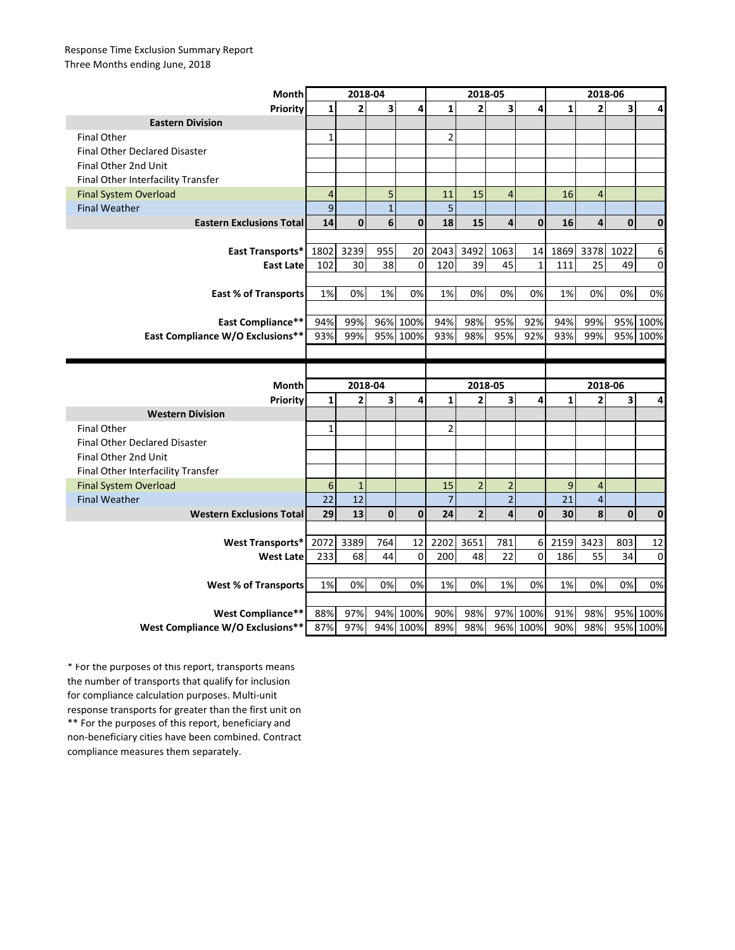## Response Time Exclusion Summary Report Three Months ending June, 2018

| Month                                                 | 2018-04          |                         |                         |                  | 2018-05        |                |                         |                      | 2018-06      |                         |             |                  |
|-------------------------------------------------------|------------------|-------------------------|-------------------------|------------------|----------------|----------------|-------------------------|----------------------|--------------|-------------------------|-------------|------------------|
| <b>Priority</b>                                       | 1                | $\overline{\mathbf{2}}$ | $\overline{\mathbf{3}}$ | 4                | $\mathbf{1}$   | $\overline{2}$ | $\overline{\mathbf{3}}$ | 4                    | $\mathbf{1}$ | $\overline{2}$          | 3           | 4                |
| <b>Eastern Division</b>                               |                  |                         |                         |                  |                |                |                         |                      |              |                         |             |                  |
| <b>Final Other</b>                                    | $\mathbf{1}$     |                         |                         |                  | $\overline{2}$ |                |                         |                      |              |                         |             |                  |
| <b>Final Other Declared Disaster</b>                  |                  |                         |                         |                  |                |                |                         |                      |              |                         |             |                  |
| Final Other 2nd Unit                                  |                  |                         |                         |                  |                |                |                         |                      |              |                         |             |                  |
| Final Other Interfacility Transfer                    |                  |                         |                         |                  |                |                |                         |                      |              |                         |             |                  |
| <b>Final System Overload</b>                          | $\overline{4}$   |                         | 5                       |                  | 11             | 15             | $\overline{4}$          |                      | 16           | $\overline{4}$          |             |                  |
| <b>Final Weather</b>                                  | 9                |                         | $\mathbf{1}$            |                  | 5              |                |                         |                      |              |                         |             |                  |
| <b>Eastern Exclusions Total</b>                       | 14               | $\mathbf{0}$            | 6                       | $\mathbf{0}$     | 18             | 15             | 4                       | $\mathbf{0}$         | 16           | $\overline{\mathbf{4}}$ | $\mathbf 0$ | $\mathbf 0$      |
|                                                       |                  |                         |                         |                  |                |                |                         |                      |              |                         |             |                  |
| East Transports*                                      | 1802             | 3239                    | 955                     | 20               | 2043           | 3492           | 1063                    | 14                   | 1869         | 3378                    | 1022        | 6                |
| <b>East Late</b>                                      | 102              | 30                      | 38                      | $\mathbf 0$      | 120            | 39             | 45                      | $\mathbf{1}$         | 111          | 25                      | 49          | $\mathbf 0$      |
|                                                       |                  |                         |                         |                  |                |                |                         |                      |              |                         |             |                  |
| <b>East % of Transports</b>                           | 1%               | 0%                      | 1%                      | 0%               | 1%             | 0%             | 0%                      | 0%                   | 1%           | 0%                      | 0%          | 0%               |
|                                                       |                  |                         |                         |                  |                |                |                         |                      |              |                         |             |                  |
| <b>East Compliance**</b>                              | 94%              | 99%                     | 96%                     | 100%             | 94%            | 98%            | 95%                     | 92%                  | 94%          | 99%                     | 95%         | 100%             |
| East Compliance W/O Exclusions**                      | 93%              | 99%                     |                         | 95% 100%         | 93%            | 98%            | 95%                     | 92%                  | 93%          | 99%                     |             | 95% 100%         |
|                                                       |                  |                         |                         |                  |                |                |                         |                      |              |                         |             |                  |
|                                                       |                  |                         |                         |                  |                |                |                         |                      |              |                         |             |                  |
|                                                       |                  |                         |                         |                  |                |                |                         |                      |              |                         |             |                  |
| <b>Month</b>                                          |                  | 2018-04                 |                         |                  |                | 2018-05        |                         |                      |              | 2018-06                 |             |                  |
| Priority                                              | $\mathbf{1}$     | 2                       | 3                       | 4                | $\mathbf{1}$   | $\overline{2}$ | 3                       | 4                    | $\mathbf{1}$ | $\overline{2}$          | 3           | 4                |
| <b>Western Division</b>                               |                  |                         |                         |                  |                |                |                         |                      |              |                         |             |                  |
| <b>Final Other</b>                                    | $\mathbf{1}$     |                         |                         |                  | $\overline{2}$ |                |                         |                      |              |                         |             |                  |
| <b>Final Other Declared Disaster</b>                  |                  |                         |                         |                  |                |                |                         |                      |              |                         |             |                  |
| Final Other 2nd Unit                                  |                  |                         |                         |                  |                |                |                         |                      |              |                         |             |                  |
| Final Other Interfacility Transfer                    |                  |                         |                         |                  |                |                |                         |                      |              |                         |             |                  |
| <b>Final System Overload</b>                          | $\boldsymbol{6}$ | $\mathbf{1}$            |                         |                  | 15             | $\overline{2}$ | $\overline{2}$          |                      | 9            | $\overline{a}$          |             |                  |
| <b>Final Weather</b>                                  | 22               | 12                      |                         |                  | $\overline{7}$ |                | $\overline{2}$          |                      | 21           | $\sqrt{4}$              |             |                  |
| <b>Western Exclusions Total</b>                       | 29               | 13                      | $\mathbf 0$             | 0                | 24             | $\overline{2}$ | 4                       | $\mathbf{0}$         | 30           | 8                       | $\bf{0}$    | $\mathbf 0$      |
|                                                       |                  |                         |                         |                  |                |                |                         |                      |              |                         |             |                  |
| <b>West Transports*</b>                               | 2072             | 3389                    | 764                     | 12               | 2202           | 3651           | 781                     | 6                    | 2159         | 3423                    | 803         | 12               |
| <b>West Late</b>                                      | 233              | 68                      | 44                      | $\mathbf{0}$     | 200            | 48             | 22                      | 0                    | 186          | 55                      | 34          | $\mathbf 0$      |
|                                                       |                  |                         |                         |                  |                |                |                         |                      |              |                         |             |                  |
| <b>West % of Transports</b>                           | 1%               | 0%                      | 0%                      | 0%               | 1%             | 0%             | 1%                      | 0%                   | 1%           | 0%                      | 0%          | 0%               |
|                                                       |                  |                         |                         |                  |                |                |                         |                      |              |                         |             |                  |
| West Compliance**<br>West Compliance W/O Exclusions** | 88%              | 97%<br>97%              | 94%                     | 100%<br>94% 100% | 90%<br>89%     | 98%<br>98%     |                         | 97% 100%<br>96% 100% | 91%<br>90%   | 98%<br>98%              | 95%         | 100%<br>95% 100% |

\*\* For the purposes of this report, beneficiary and non-beneficiary cities have been combined. Contract compliance measures them separately. \* For the purposes of this report, transports means the number of transports that qualify for inclusion for compliance calculation purposes. Multi-unit response transports for greater than the first unit on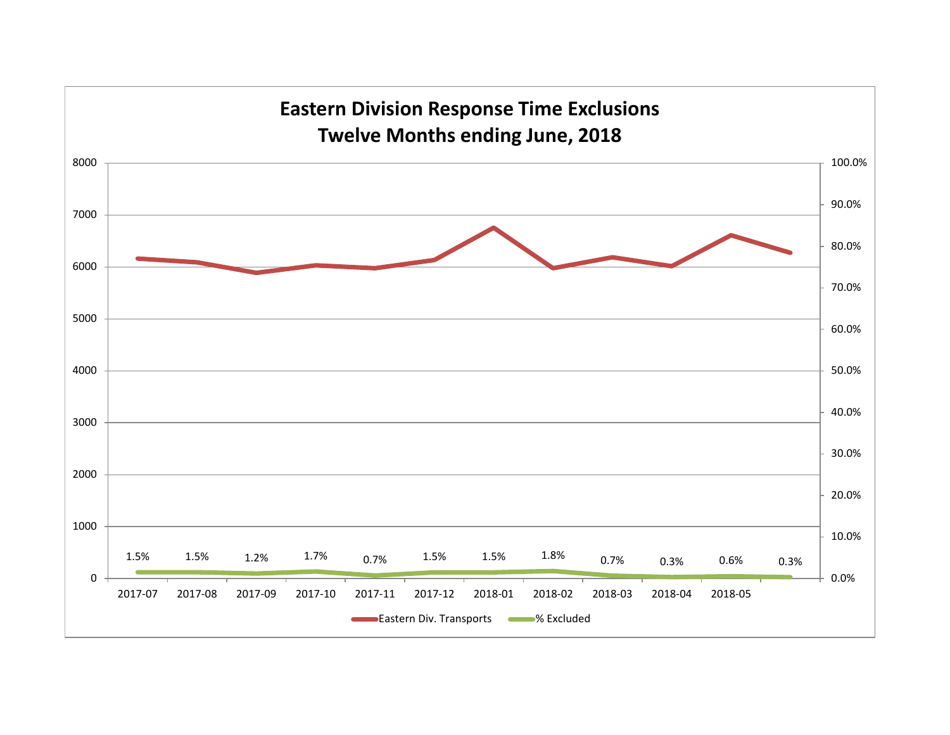